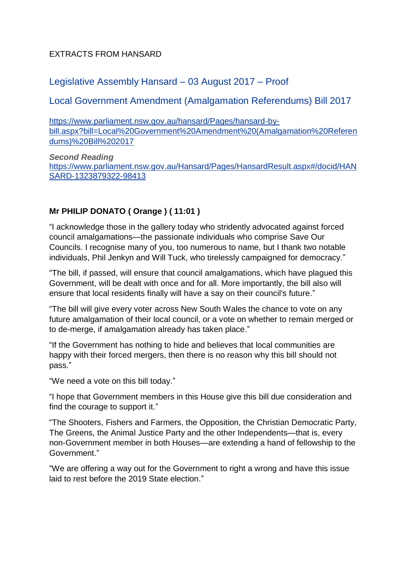### EXTRACTS FROM HANSARD

# Legislative Assembly Hansard – 03 August 2017 – Proof

## Local Government Amendment (Amalgamation Referendums) Bill 2017

[https://www.parliament.nsw.gov.au/hansard/Pages/hansard-by](https://www.parliament.nsw.gov.au/hansard/Pages/hansard-by-bill.aspx?bill=Local%20Government%20Amendment%20(Amalgamation%20Referendums)%20Bill%202017)[bill.aspx?bill=Local%20Government%20Amendment%20\(Amalgamation%20Referen](https://www.parliament.nsw.gov.au/hansard/Pages/hansard-by-bill.aspx?bill=Local%20Government%20Amendment%20(Amalgamation%20Referendums)%20Bill%202017) [dums\)%20Bill%202017](https://www.parliament.nsw.gov.au/hansard/Pages/hansard-by-bill.aspx?bill=Local%20Government%20Amendment%20(Amalgamation%20Referendums)%20Bill%202017)

*Second Reading* [https://www.parliament.nsw.gov.au/Hansard/Pages/HansardResult.aspx#/docid/HAN](https://www.parliament.nsw.gov.au/Hansard/Pages/HansardResult.aspx#/docid/HANSARD-1323879322-98413) [SARD-1323879322-98413](https://www.parliament.nsw.gov.au/Hansard/Pages/HansardResult.aspx#/docid/HANSARD-1323879322-98413)

### **Mr PHILIP DONATO ( Orange ) ( 11:01 )**

"I acknowledge those in the gallery today who stridently advocated against forced council amalgamations—the passionate individuals who comprise Save Our Councils. I recognise many of you, too numerous to name, but I thank two notable individuals, Phil Jenkyn and Will Tuck, who tirelessly campaigned for democracy."

"The bill, if passed, will ensure that council amalgamations, which have plagued this Government, will be dealt with once and for all. More importantly, the bill also will ensure that local residents finally will have a say on their council's future."

"The bill will give every voter across New South Wales the chance to vote on any future amalgamation of their local council, or a vote on whether to remain merged or to de-merge, if amalgamation already has taken place."

"If the Government has nothing to hide and believes that local communities are happy with their forced mergers, then there is no reason why this bill should not pass."

"We need a vote on this bill today."

"I hope that Government members in this House give this bill due consideration and find the courage to support it."

"The Shooters, Fishers and Farmers, the Opposition, the Christian Democratic Party, The Greens, the Animal Justice Party and the other Independents—that is, every non-Government member in both Houses—are extending a hand of fellowship to the Government"

"We are offering a way out for the Government to right a wrong and have this issue laid to rest before the 2019 State election."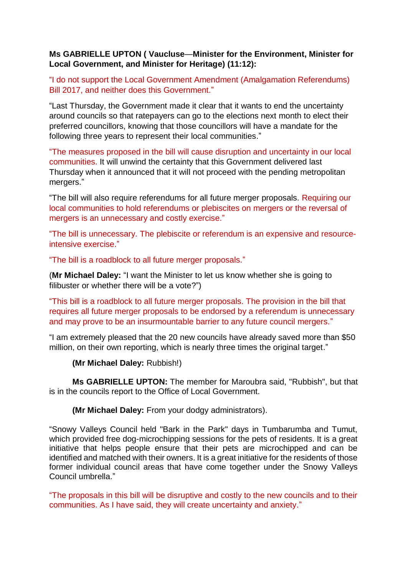#### **Ms GABRIELLE UPTON ( Vaucluse**—**Minister for the Environment, Minister for Local Government, and Minister for Heritage) (11:12):**

"I do not support the Local Government Amendment (Amalgamation Referendums) Bill 2017, and neither does this Government."

"Last Thursday, the Government made it clear that it wants to end the uncertainty around councils so that ratepayers can go to the elections next month to elect their preferred councillors, knowing that those councillors will have a mandate for the following three years to represent their local communities."

"The measures proposed in the bill will cause disruption and uncertainty in our local communities. It will unwind the certainty that this Government delivered last Thursday when it announced that it will not proceed with the pending metropolitan mergers."

"The bill will also require referendums for all future merger proposals. Requiring our local communities to hold referendums or plebiscites on mergers or the reversal of mergers is an unnecessary and costly exercise."

"The bill is unnecessary. The plebiscite or referendum is an expensive and resourceintensive exercise."

"The bill is a roadblock to all future merger proposals."

(**Mr Michael Daley:** "I want the Minister to let us know whether she is going to filibuster or whether there will be a vote?")

"This bill is a roadblock to all future merger proposals. The provision in the bill that requires all future merger proposals to be endorsed by a referendum is unnecessary and may prove to be an insurmountable barrier to any future council mergers."

"I am extremely pleased that the 20 new councils have already saved more than \$50 million, on their own reporting, which is nearly three times the original target."

**(Mr Michael Daley:** Rubbish!)

**Ms GABRIELLE UPTON:** The member for Maroubra said, "Rubbish", but that is in the councils report to the Office of Local Government.

**(Mr Michael Daley:** From your dodgy administrators).

"Snowy Valleys Council held "Bark in the Park" days in Tumbarumba and Tumut, which provided free dog-microchipping sessions for the pets of residents. It is a great initiative that helps people ensure that their pets are microchipped and can be identified and matched with their owners. It is a great initiative for the residents of those former individual council areas that have come together under the Snowy Valleys Council umbrella."

"The proposals in this bill will be disruptive and costly to the new councils and to their communities. As I have said, they will create uncertainty and anxiety."